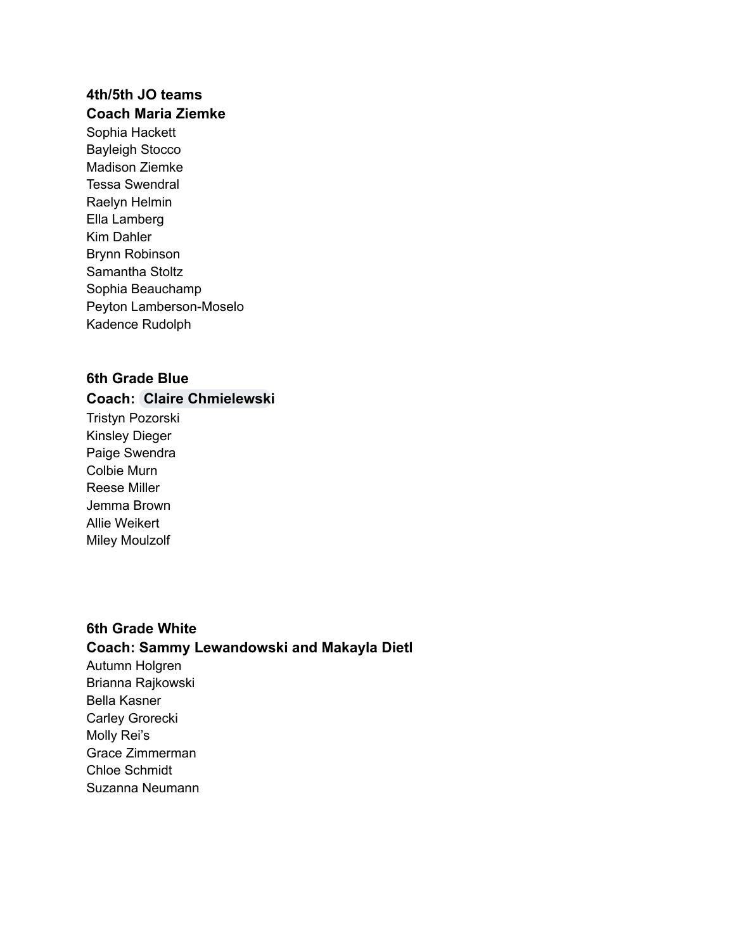#### **4th/5th JO teams Coach Maria Ziemke**

Sophia Hackett Bayleigh Stocco Madison Ziemke Tessa Swendral Raelyn Helmin Ella Lamberg Kim Dahler Brynn Robinson Samantha Stoltz Sophia Beauchamp Peyton Lamberson-Moselo Kadence Rudolph

# **6th Grade Blue**

#### **Coach: [Claire Chmielewski](mailto:22chmielewskic@apps.isd51.org)**

Tristyn Pozorski Kinsley Dieger Paige Swendra Colbie Murn Reese Miller Jemma Brown Allie Weikert Miley Moulzolf

# **6th Grade White Coach: Sammy Lewandowski and Makayla Dietl** Autumn Holgren

Brianna Rajkowski Bella Kasner Carley Grorecki Molly Rei's Grace Zimmerman Chloe Schmidt Suzanna Neumann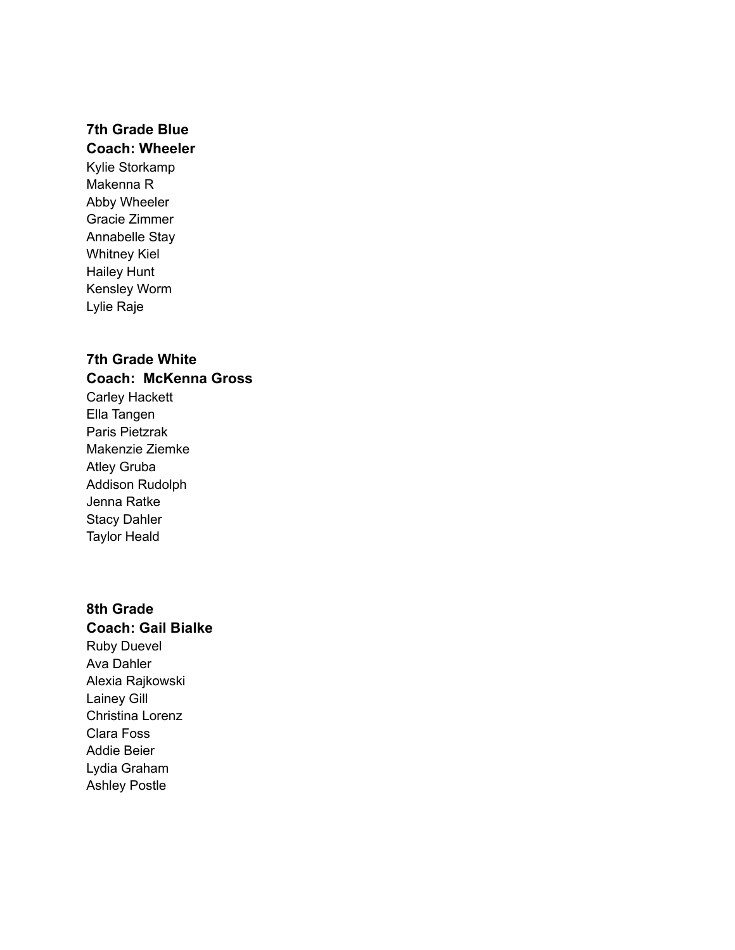# **7th Grade Blue**

# **Coach: Wheeler**

Kylie Storkamp Makenna R Abby Wheeler Gracie Zimmer Annabelle Stay Whitney Kiel Hailey Hunt Kensley Worm Lylie Raje

# **7th Grade White**

#### **Coach: McKenna Gross**

Carley Hackett Ella Tangen Paris Pietzrak Makenzie Ziemke Atley Gruba Addison Rudolph Jenna Ratke Stacy Dahler Taylor Heald

# **8th Grade**

### **Coach: Gail Bialke** Ruby Duevel Ava Dahler Alexia Rajkowski Lainey Gill Christina Lorenz Clara Foss Addie Beier Lydia Graham Ashley Postle